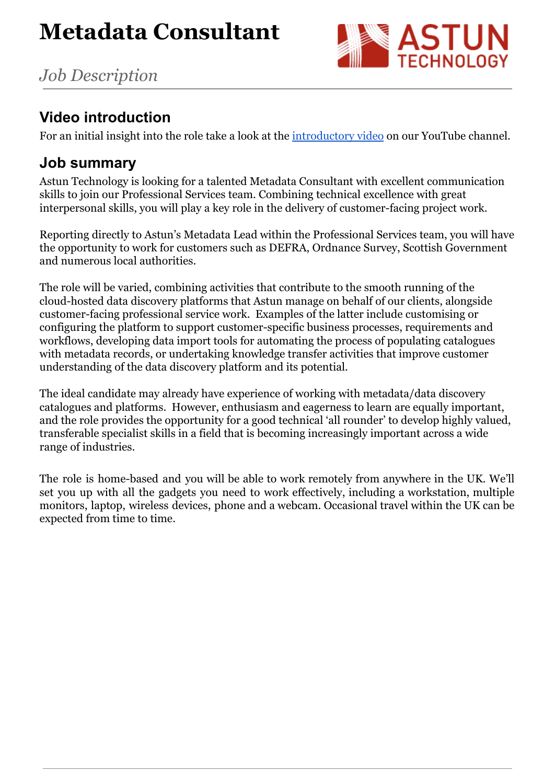

# **Video introduction**

For an initial insight into the role take a look at the [introductory video](https://www.youtube.com/watch?v=1Pve_uEhGvA) on our YouTube channel.

### **Job summary**

Astun Technology is looking for a talented Metadata Consultant with excellent communication skills to join our Professional Services team. Combining technical excellence with great interpersonal skills, you will play a key role in the delivery of customer-facing project work.

Reporting directly to Astun's Metadata Lead within the Professional Services team, you will have the opportunity to work for customers such as DEFRA, Ordnance Survey, Scottish Government and numerous local authorities.

The role will be varied, combining activities that contribute to the smooth running of the cloud-hosted data discovery platforms that Astun manage on behalf of our clients, alongside customer-facing professional service work. Examples of the latter include customising or configuring the platform to support customer-specific business processes, requirements and workflows, developing data import tools for automating the process of populating catalogues with metadata records, or undertaking knowledge transfer activities that improve customer understanding of the data discovery platform and its potential.

The ideal candidate may already have experience of working with metadata/data discovery catalogues and platforms. However, enthusiasm and eagerness to learn are equally important, and the role provides the opportunity for a good technical 'all rounder' to develop highly valued, transferable specialist skills in a field that is becoming increasingly important across a wide range of industries.

The role is home-based and you will be able to work remotely from anywhere in the UK. We'll set you up with all the gadgets you need to work effectively, including a workstation, multiple monitors, laptop, wireless devices, phone and a webcam. Occasional travel within the UK can be expected from time to time.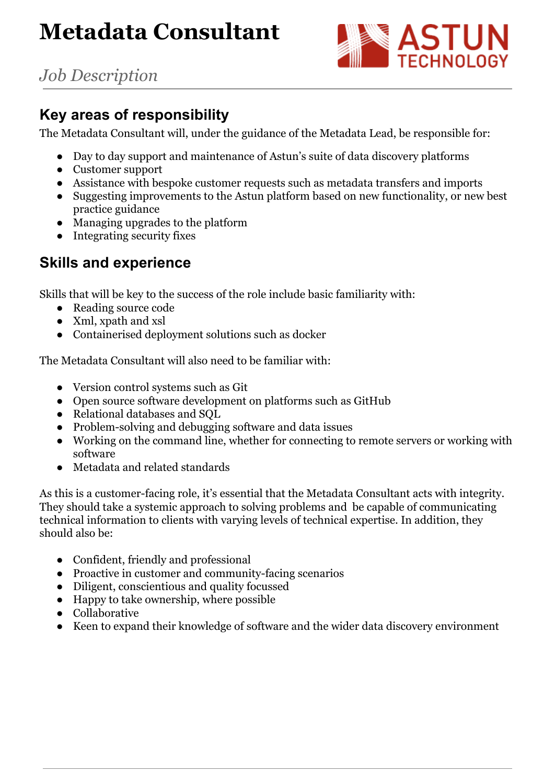# **Metadata Consultant**



*Job Description*

### **Key areas of responsibility**

The Metadata Consultant will, under the guidance of the Metadata Lead, be responsible for:

- Day to day support and maintenance of Astun's suite of data discovery platforms
- Customer support
- Assistance with bespoke customer requests such as metadata transfers and imports
- Suggesting improvements to the Astun platform based on new functionality, or new best practice guidance
- Managing upgrades to the platform
- Integrating security fixes

### **Skills and experience**

Skills that will be key to the success of the role include basic familiarity with:

- Reading source code
- Xml, xpath and xsl
- Containerised deployment solutions such as docker

The Metadata Consultant will also need to be familiar with:

- Version control systems such as Git
- Open source software development on platforms such as GitHub
- Relational databases and SQL
- Problem-solving and debugging software and data issues
- Working on the command line, whether for connecting to remote servers or working with software
- Metadata and related standards

As this is a customer-facing role, it's essential that the Metadata Consultant acts with integrity. They should take a systemic approach to solving problems and be capable of communicating technical information to clients with varying levels of technical expertise. In addition, they should also be:

- Confident, friendly and professional
- Proactive in customer and community-facing scenarios
- Diligent, conscientious and quality focussed
- Happy to take ownership, where possible
- Collaborative
- Keen to expand their knowledge of software and the wider data discovery environment